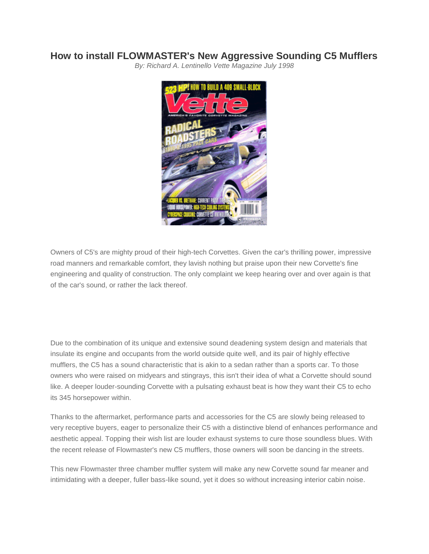## **How to install [FLOWMASTER's](http://www.mufflex-performance.com/about-mufflex/mufflex-performance/magazine-articles/107-how-to-install-flowmaster-s-new-agressive-sounding-c5-muffler) New Aggressive Sounding C5 Mufflers**

*By: Richard A. Lentinello Vette Magazine July 1998*



Owners of C5's are mighty proud of their high-tech Corvettes. Given the car's thrilling power, impressive road manners and remarkable comfort, they lavish nothing but praise upon their new Corvette's fine engineering and quality of construction. The only complaint we keep hearing over and over again is that of the car's sound, or rather the lack thereof.

Due to the combination of its unique and extensive sound deadening system design and materials that insulate its engine and occupants from the world outside quite well, and its pair of highly effective mufflers, the C5 has a sound characteristic that is akin to a sedan rather than a sports car. To those owners who were raised on midyears and stingrays, this isn't their idea of what a Corvette should sound like. A deeper louder-sounding Corvette with a pulsating exhaust beat is how they want their C5 to echo its 345 horsepower within.

Thanks to the aftermarket, performance parts and accessories for the C5 are slowly being released to very receptive buyers, eager to personalize their C5 with a distinctive blend of enhances performance and aesthetic appeal. Topping their wish list are louder exhaust systems to cure those soundless blues. With the recent release of Flowmaster's new C5 mufflers, those owners will soon be dancing in the streets.

This new Flowmaster three chamber muffler system will make any new Corvette sound far meaner and intimidating with a deeper, fuller bass-like sound, yet it does so without increasing interior cabin noise.